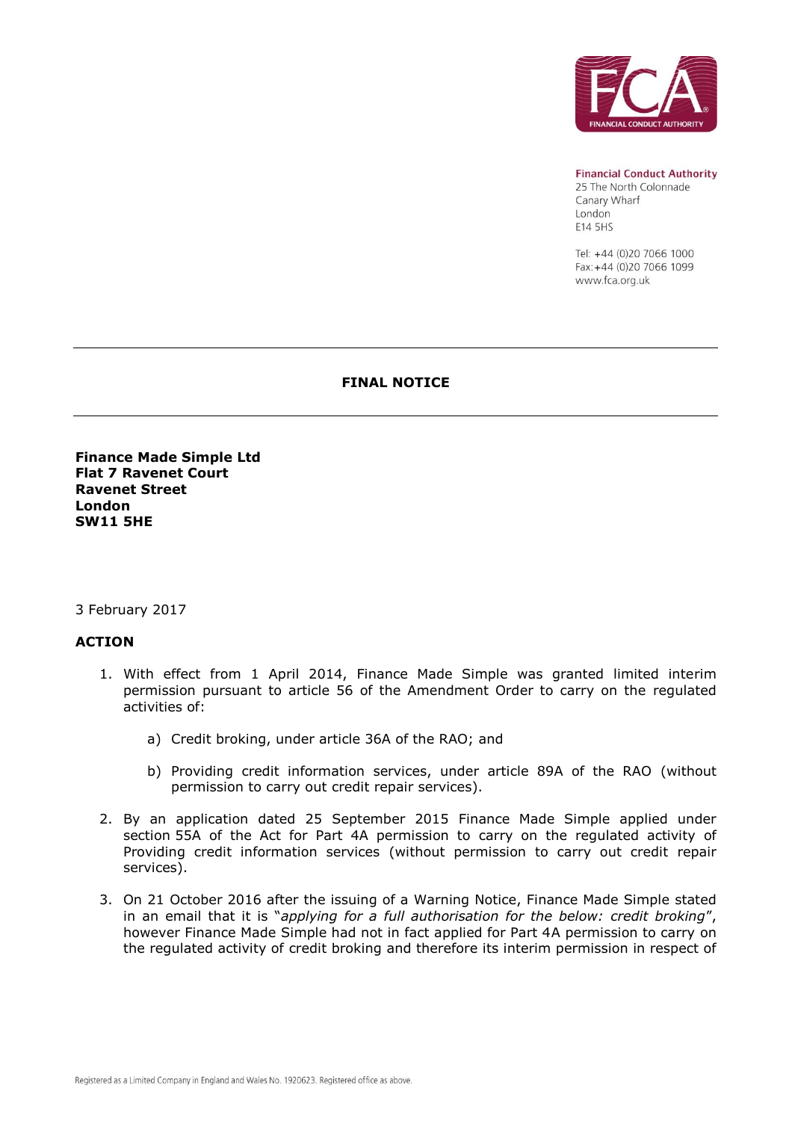

**Financial Conduct Authority** 

25 The North Colonnade Canary Wharf London E14 5HS

Tel: +44 (0)20 7066 1000 Fax: +44 (0)20 7066 1099 www.fca.org.uk

#### **FINAL NOTICE**

**Finance Made Simple Ltd Flat 7 Ravenet Court Ravenet Street London SW11 5HE**

#### 3 February 2017

## **ACTION**

- 1. With effect from 1 April 2014, Finance Made Simple was granted limited interim permission pursuant to article 56 of the Amendment Order to carry on the regulated activities of:
	- a) Credit broking, under article 36A of the RAO; and
	- b) Providing credit information services, under article 89A of the RAO (without permission to carry out credit repair services).
- 2. By an application dated 25 September 2015 Finance Made Simple applied under section 55A of the Act for Part 4A permission to carry on the regulated activity of Providing credit information services (without permission to carry out credit repair services).
- 3. On 21 October 2016 after the issuing of a Warning Notice, Finance Made Simple stated in an email that it is "*applying for a full authorisation for the below: credit broking*", however Finance Made Simple had not in fact applied for Part 4A permission to carry on the regulated activity of credit broking and therefore its interim permission in respect of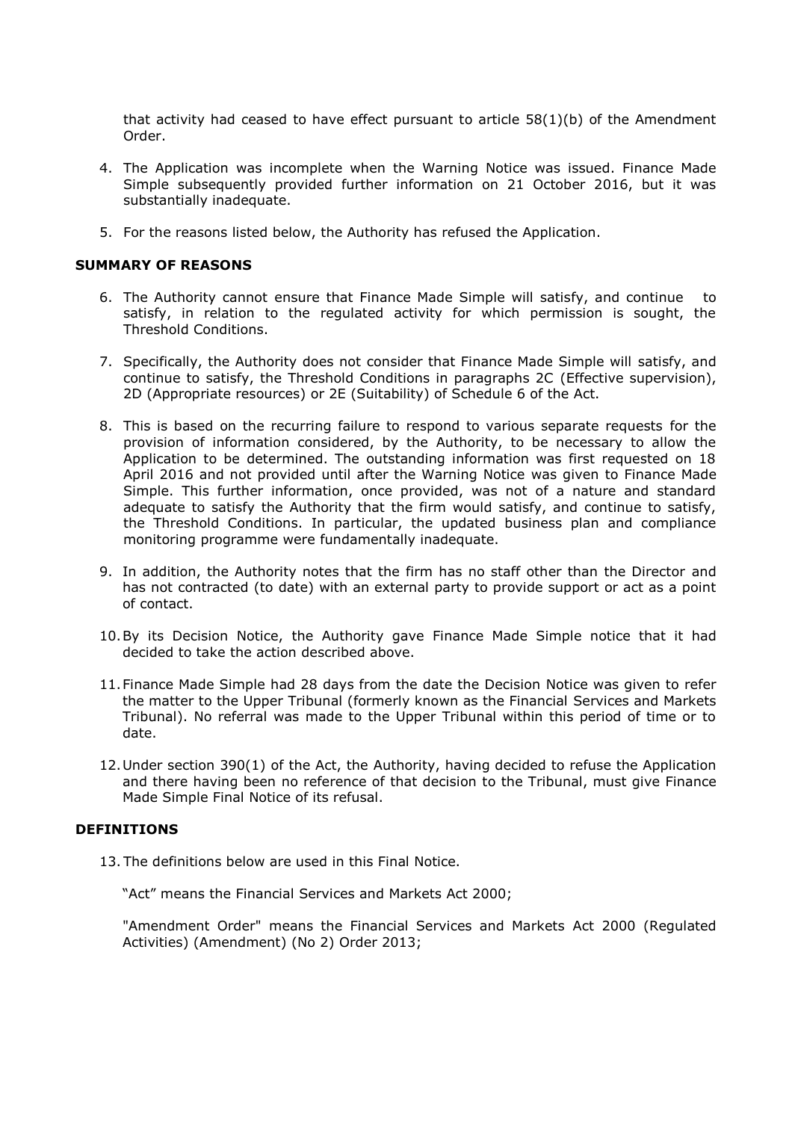that activity had ceased to have effect pursuant to article  $58(1)(b)$  of the Amendment Order.

- 4. The Application was incomplete when the Warning Notice was issued. Finance Made Simple subsequently provided further information on 21 October 2016, but it was substantially inadequate.
- 5. For the reasons listed below, the Authority has refused the Application.

#### **SUMMARY OF REASONS**

- 6. The Authority cannot ensure that Finance Made Simple will satisfy, and continue to satisfy, in relation to the regulated activity for which permission is sought, the Threshold Conditions.
- 7. Specifically, the Authority does not consider that Finance Made Simple will satisfy, and continue to satisfy, the Threshold Conditions in paragraphs 2C (Effective supervision), 2D (Appropriate resources) or 2E (Suitability) of Schedule 6 of the Act.
- 8. This is based on the recurring failure to respond to various separate requests for the provision of information considered, by the Authority, to be necessary to allow the Application to be determined. The outstanding information was first requested on 18 April 2016 and not provided until after the Warning Notice was given to Finance Made Simple. This further information, once provided, was not of a nature and standard adequate to satisfy the Authority that the firm would satisfy, and continue to satisfy, the Threshold Conditions. In particular, the updated business plan and compliance monitoring programme were fundamentally inadequate.
- 9. In addition, the Authority notes that the firm has no staff other than the Director and has not contracted (to date) with an external party to provide support or act as a point of contact.
- 10.By its Decision Notice, the Authority gave Finance Made Simple notice that it had decided to take the action described above.
- 11.Finance Made Simple had 28 days from the date the Decision Notice was given to refer the matter to the Upper Tribunal (formerly known as the Financial Services and Markets Tribunal). No referral was made to the Upper Tribunal within this period of time or to date.
- 12.Under section 390(1) of the Act, the Authority, having decided to refuse the Application and there having been no reference of that decision to the Tribunal, must give Finance Made Simple Final Notice of its refusal.

#### **DEFINITIONS**

13. The definitions below are used in this Final Notice.

"Act" means the Financial Services and Markets Act 2000;

"Amendment Order" means the Financial Services and Markets Act 2000 (Regulated Activities) (Amendment) (No 2) Order 2013;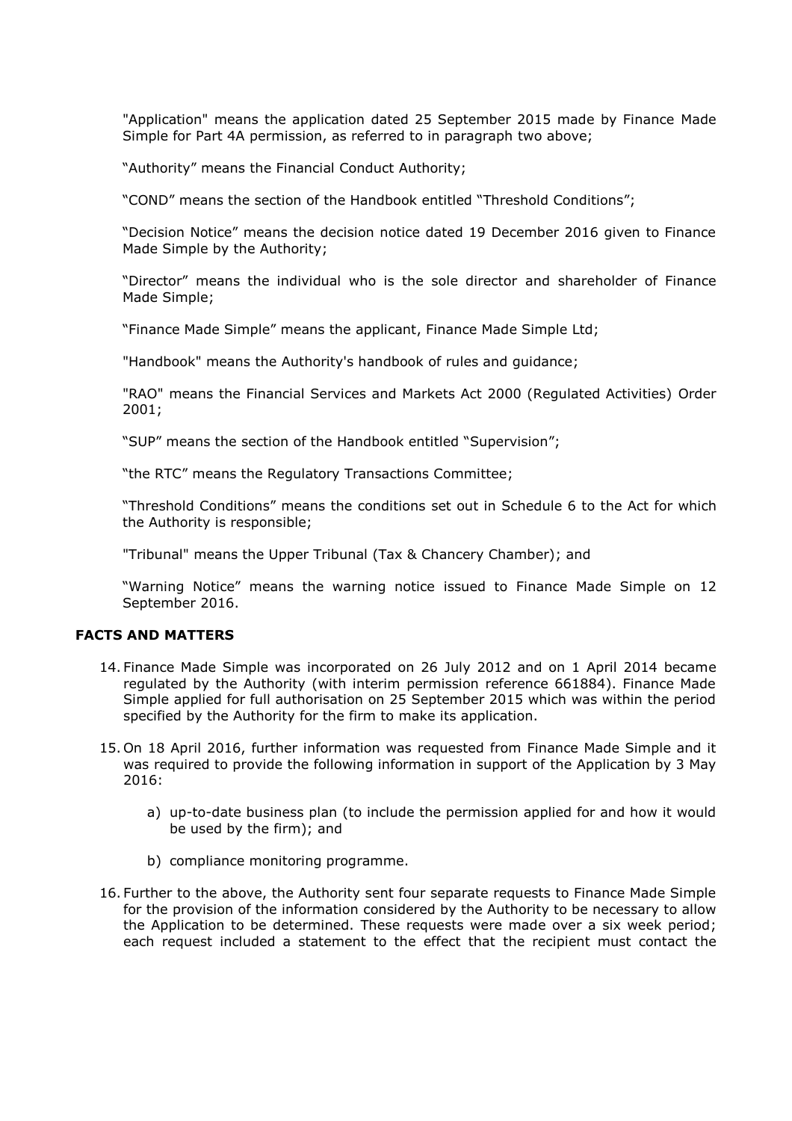"Application" means the application dated 25 September 2015 made by Finance Made Simple for Part 4A permission, as referred to in paragraph two above;

"Authority" means the Financial Conduct Authority;

"COND" means the section of the Handbook entitled "Threshold Conditions";

"Decision Notice" means the decision notice dated 19 December 2016 given to Finance Made Simple by the Authority;

"Director" means the individual who is the sole director and shareholder of Finance Made Simple;

"Finance Made Simple" means the applicant, Finance Made Simple Ltd;

"Handbook" means the Authority's handbook of rules and guidance;

"RAO" means the Financial Services and Markets Act 2000 (Regulated Activities) Order 2001;

"SUP" means the section of the Handbook entitled "Supervision";

"the RTC" means the Regulatory Transactions Committee;

"Threshold Conditions" means the conditions set out in Schedule 6 to the Act for which the Authority is responsible;

"Tribunal" means the Upper Tribunal (Tax & Chancery Chamber); and

"Warning Notice" means the warning notice issued to Finance Made Simple on 12 September 2016.

## **FACTS AND MATTERS**

- 14. Finance Made Simple was incorporated on 26 July 2012 and on 1 April 2014 became regulated by the Authority (with interim permission reference 661884). Finance Made Simple applied for full authorisation on 25 September 2015 which was within the period specified by the Authority for the firm to make its application.
- 15. On 18 April 2016, further information was requested from Finance Made Simple and it was required to provide the following information in support of the Application by 3 May 2016:
	- a) up-to-date business plan (to include the permission applied for and how it would be used by the firm); and
	- b) compliance monitoring programme.
- 16. Further to the above, the Authority sent four separate requests to Finance Made Simple for the provision of the information considered by the Authority to be necessary to allow the Application to be determined. These requests were made over a six week period; each request included a statement to the effect that the recipient must contact the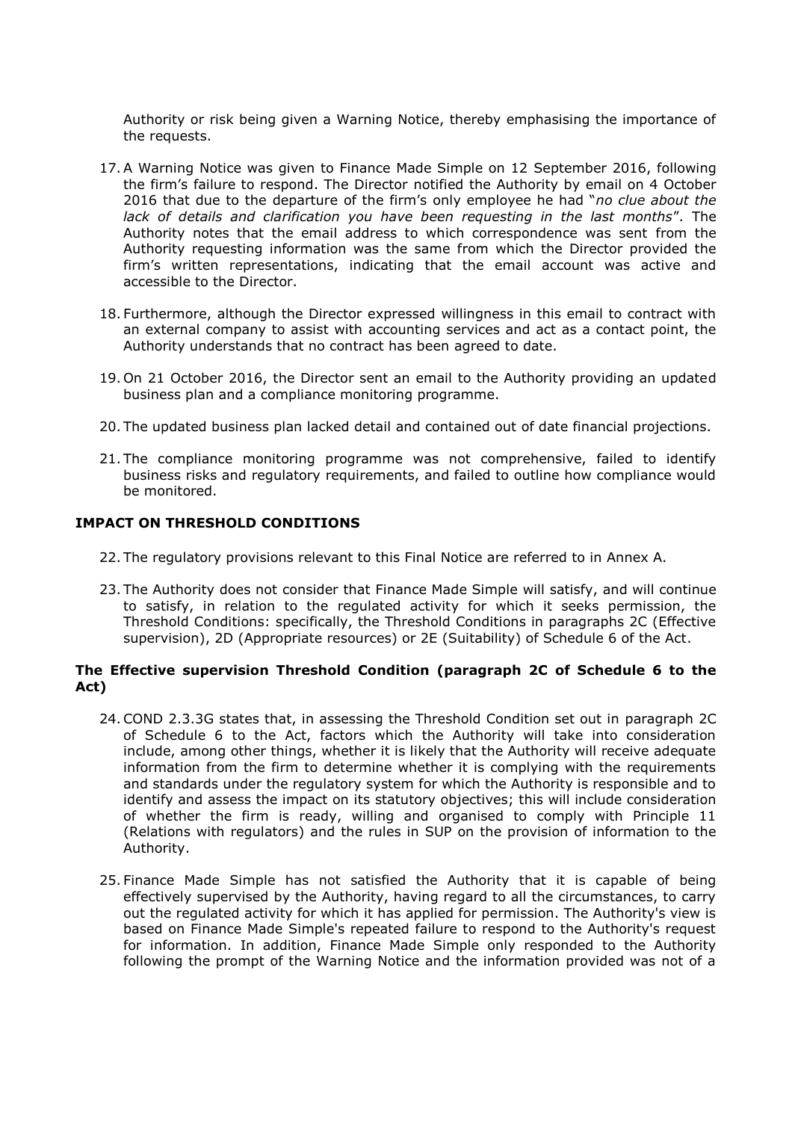Authority or risk being given a Warning Notice, thereby emphasising the importance of the requests.

- 17.A Warning Notice was given to Finance Made Simple on 12 September 2016, following the firm's failure to respond. The Director notified the Authority by email on 4 October 2016 that due to the departure of the firm's only employee he had "*no clue about the lack of details and clarification you have been requesting in the last months*". The Authority notes that the email address to which correspondence was sent from the Authority requesting information was the same from which the Director provided the firm's written representations, indicating that the email account was active and accessible to the Director.
- 18. Furthermore, although the Director expressed willingness in this email to contract with an external company to assist with accounting services and act as a contact point, the Authority understands that no contract has been agreed to date.
- 19. On 21 October 2016, the Director sent an email to the Authority providing an updated business plan and a compliance monitoring programme.
- 20. The updated business plan lacked detail and contained out of date financial projections.
- 21. The compliance monitoring programme was not comprehensive, failed to identify business risks and regulatory requirements, and failed to outline how compliance would be monitored.

## **IMPACT ON THRESHOLD CONDITIONS**

- 22. The regulatory provisions relevant to this Final Notice are referred to in Annex A.
- 23. The Authority does not consider that Finance Made Simple will satisfy, and will continue to satisfy, in relation to the regulated activity for which it seeks permission, the Threshold Conditions: specifically, the Threshold Conditions in paragraphs 2C (Effective supervision), 2D (Appropriate resources) or 2E (Suitability) of Schedule 6 of the Act.

## **The Effective supervision Threshold Condition (paragraph 2C of Schedule 6 to the Act)**

- 24.COND 2.3.3G states that, in assessing the Threshold Condition set out in paragraph 2C of Schedule 6 to the Act, factors which the Authority will take into consideration include, among other things, whether it is likely that the Authority will receive adequate information from the firm to determine whether it is complying with the requirements and standards under the regulatory system for which the Authority is responsible and to identify and assess the impact on its statutory objectives; this will include consideration of whether the firm is ready, willing and organised to comply with Principle 11 (Relations with regulators) and the rules in SUP on the provision of information to the Authority.
- 25. Finance Made Simple has not satisfied the Authority that it is capable of being effectively supervised by the Authority, having regard to all the circumstances, to carry out the regulated activity for which it has applied for permission. The Authority's view is based on Finance Made Simple's repeated failure to respond to the Authority's request for information. In addition, Finance Made Simple only responded to the Authority following the prompt of the Warning Notice and the information provided was not of a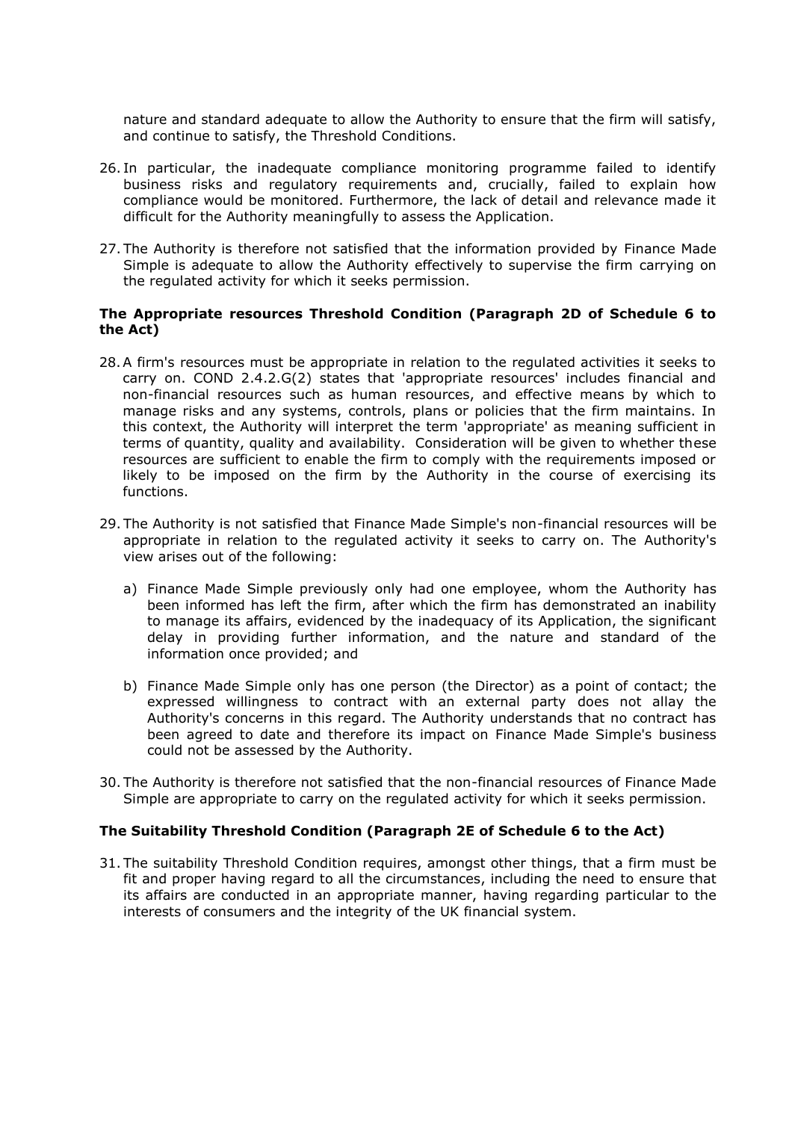nature and standard adequate to allow the Authority to ensure that the firm will satisfy, and continue to satisfy, the Threshold Conditions.

- 26. In particular, the inadequate compliance monitoring programme failed to identify business risks and regulatory requirements and, crucially, failed to explain how compliance would be monitored. Furthermore, the lack of detail and relevance made it difficult for the Authority meaningfully to assess the Application.
- 27. The Authority is therefore not satisfied that the information provided by Finance Made Simple is adequate to allow the Authority effectively to supervise the firm carrying on the regulated activity for which it seeks permission.

## **The Appropriate resources Threshold Condition (Paragraph 2D of Schedule 6 to the Act)**

- 28.A firm's resources must be appropriate in relation to the regulated activities it seeks to carry on. COND 2.4.2.G(2) states that 'appropriate resources' includes financial and non-financial resources such as human resources, and effective means by which to manage risks and any systems, controls, plans or policies that the firm maintains. In this context, the Authority will interpret the term 'appropriate' as meaning sufficient in terms of quantity, quality and availability. Consideration will be given to whether these resources are sufficient to enable the firm to comply with the requirements imposed or likely to be imposed on the firm by the Authority in the course of exercising its functions.
- 29. The Authority is not satisfied that Finance Made Simple's non-financial resources will be appropriate in relation to the regulated activity it seeks to carry on. The Authority's view arises out of the following:
	- a) Finance Made Simple previously only had one employee, whom the Authority has been informed has left the firm, after which the firm has demonstrated an inability to manage its affairs, evidenced by the inadequacy of its Application, the significant delay in providing further information, and the nature and standard of the information once provided; and
	- b) Finance Made Simple only has one person (the Director) as a point of contact; the expressed willingness to contract with an external party does not allay the Authority's concerns in this regard. The Authority understands that no contract has been agreed to date and therefore its impact on Finance Made Simple's business could not be assessed by the Authority.
- 30. The Authority is therefore not satisfied that the non-financial resources of Finance Made Simple are appropriate to carry on the regulated activity for which it seeks permission.

## **The Suitability Threshold Condition (Paragraph 2E of Schedule 6 to the Act)**

31. The suitability Threshold Condition requires, amongst other things, that a firm must be fit and proper having regard to all the circumstances, including the need to ensure that its affairs are conducted in an appropriate manner, having regarding particular to the interests of consumers and the integrity of the UK financial system.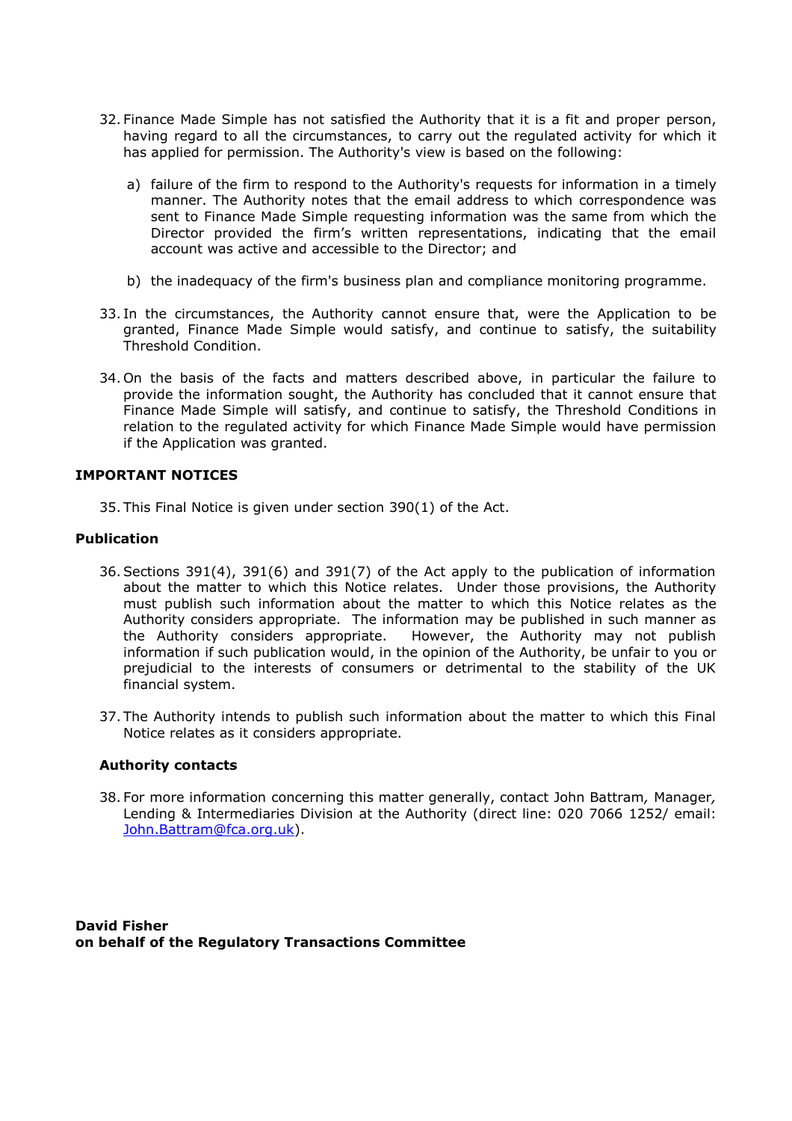- 32. Finance Made Simple has not satisfied the Authority that it is a fit and proper person, having regard to all the circumstances, to carry out the regulated activity for which it has applied for permission. The Authority's view is based on the following:
	- a) failure of the firm to respond to the Authority's requests for information in a timely manner. The Authority notes that the email address to which correspondence was sent to Finance Made Simple requesting information was the same from which the Director provided the firm's written representations, indicating that the email account was active and accessible to the Director; and
	- b) the inadequacy of the firm's business plan and compliance monitoring programme.
- 33. In the circumstances, the Authority cannot ensure that, were the Application to be granted, Finance Made Simple would satisfy, and continue to satisfy, the suitability Threshold Condition.
- 34. On the basis of the facts and matters described above, in particular the failure to provide the information sought, the Authority has concluded that it cannot ensure that Finance Made Simple will satisfy, and continue to satisfy, the Threshold Conditions in relation to the regulated activity for which Finance Made Simple would have permission if the Application was granted.

## **IMPORTANT NOTICES**

35. This Final Notice is given under section 390(1) of the Act.

## **Publication**

- 36.Sections 391(4), 391(6) and 391(7) of the Act apply to the publication of information about the matter to which this Notice relates. Under those provisions, the Authority must publish such information about the matter to which this Notice relates as the Authority considers appropriate. The information may be published in such manner as the Authority considers appropriate. However, the Authority may not publish information if such publication would, in the opinion of the Authority, be unfair to you or prejudicial to the interests of consumers or detrimental to the stability of the UK financial system.
- 37. The Authority intends to publish such information about the matter to which this Final Notice relates as it considers appropriate.

## **Authority contacts**

38. For more information concerning this matter generally, contact John Battram*,* Manager*,* Lending & Intermediaries Division at the Authority (direct line: 020 7066 1252/ email: [John.Battram@fca.org.uk\)](mailto:John.Battram@fca.org.uk).

**David Fisher on behalf of the Regulatory Transactions Committee**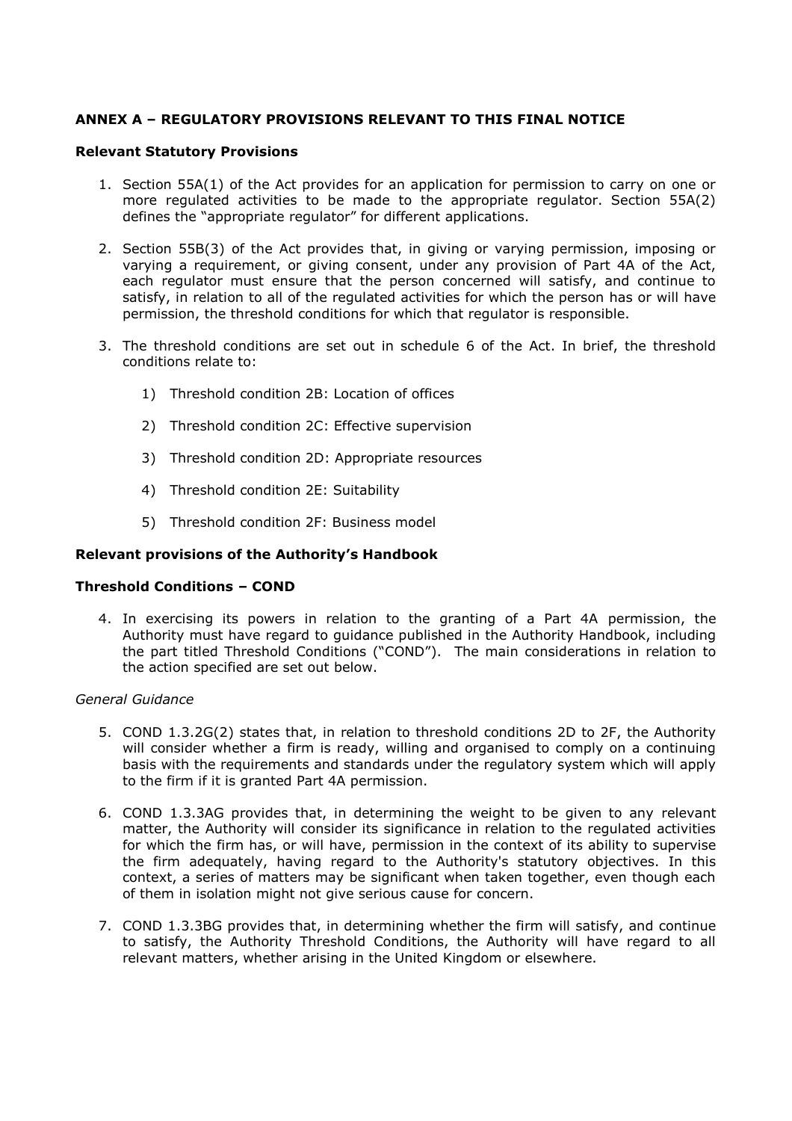# **ANNEX A – REGULATORY PROVISIONS RELEVANT TO THIS FINAL NOTICE**

#### **Relevant Statutory Provisions**

- 1. Section 55A(1) of the Act provides for an application for permission to carry on one or more regulated activities to be made to the appropriate regulator. Section 55A(2) defines the "appropriate regulator" for different applications.
- 2. Section 55B(3) of the Act provides that, in giving or varying permission, imposing or varying a requirement, or giving consent, under any provision of Part 4A of the Act, each regulator must ensure that the person concerned will satisfy, and continue to satisfy, in relation to all of the regulated activities for which the person has or will have permission, the threshold conditions for which that regulator is responsible.
- 3. The threshold conditions are set out in schedule 6 of the Act. In brief, the threshold conditions relate to:
	- 1) Threshold condition 2B: Location of offices
	- 2) Threshold condition 2C: Effective supervision
	- 3) Threshold condition 2D: Appropriate resources
	- 4) Threshold condition 2E: Suitability
	- 5) Threshold condition 2F: Business model

## **Relevant provisions of the Authority's Handbook**

## **Threshold Conditions – COND**

4. In exercising its powers in relation to the granting of a Part 4A permission, the Authority must have regard to guidance published in the Authority Handbook, including the part titled Threshold Conditions ("COND"). The main considerations in relation to the action specified are set out below.

#### *General Guidance*

- 5. COND 1.3.2G(2) states that, in relation to threshold conditions 2D to 2F, the Authority will consider whether a firm is ready, willing and organised to comply on a continuing basis with the requirements and standards under the regulatory system which will apply to the firm if it is granted Part 4A permission.
- 6. COND 1.3.3AG provides that, in determining the weight to be given to any relevant matter, the Authority will consider its significance in relation to the regulated activities for which the firm has, or will have, permission in the context of its ability to supervise the firm adequately, having regard to the Authority's statutory objectives. In this context, a series of matters may be significant when taken together, even though each of them in isolation might not give serious cause for concern.
- 7. COND 1.3.3BG provides that, in determining whether the firm will satisfy, and continue to satisfy, the Authority Threshold Conditions, the Authority will have regard to all relevant matters, whether arising in the United Kingdom or elsewhere.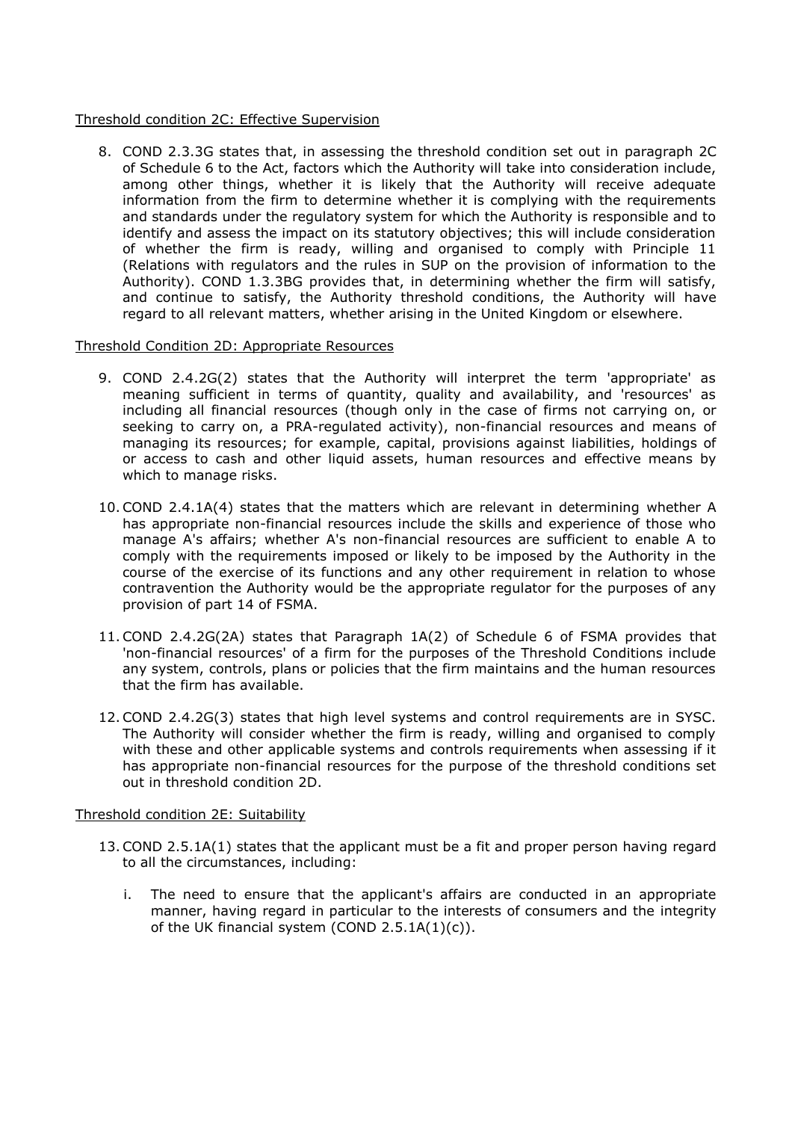#### Threshold condition 2C: Effective Supervision

8. COND 2.3.3G states that, in assessing the threshold condition set out in paragraph 2C of Schedule 6 to the Act, factors which the Authority will take into consideration include, among other things, whether it is likely that the Authority will receive adequate information from the firm to determine whether it is complying with the requirements and standards under the regulatory system for which the Authority is responsible and to identify and assess the impact on its statutory objectives; this will include consideration of whether the firm is ready, willing and organised to comply with Principle 11 (Relations with regulators and the rules in SUP on the provision of information to the Authority). COND 1.3.3BG provides that, in determining whether the firm will satisfy, and continue to satisfy, the Authority threshold conditions, the Authority will have regard to all relevant matters, whether arising in the United Kingdom or elsewhere.

## Threshold Condition 2D: Appropriate Resources

- 9. COND 2.4.2G(2) states that the Authority will interpret the term 'appropriate' as meaning sufficient in terms of quantity, quality and availability, and 'resources' as including all financial resources (though only in the case of firms not carrying on, or seeking to carry on, a PRA-regulated activity), non-financial resources and means of managing its resources; for example, capital, provisions against liabilities, holdings of or access to cash and other liquid assets, human resources and effective means by which to manage risks.
- 10.COND 2.4.1A(4) states that the matters which are relevant in determining whether A has appropriate non-financial resources include the skills and experience of those who manage A's affairs; whether A's non-financial resources are sufficient to enable A to comply with the requirements imposed or likely to be imposed by the Authority in the course of the exercise of its functions and any other requirement in relation to whose contravention the Authority would be the appropriate regulator for the purposes of any provision of part 14 of FSMA.
- 11.COND 2.4.2G(2A) states that Paragraph 1A(2) of Schedule 6 of FSMA provides that 'non-financial resources' of a firm for the purposes of the Threshold Conditions include any system, controls, plans or policies that the firm maintains and the human resources that the firm has available.
- 12.COND 2.4.2G(3) states that high level systems and control requirements are in SYSC. The Authority will consider whether the firm is ready, willing and organised to comply with these and other applicable systems and controls requirements when assessing if it has appropriate non-financial resources for the purpose of the threshold conditions set out in threshold condition 2D.

## Threshold condition 2E: Suitability

- 13.COND 2.5.1A(1) states that the applicant must be a fit and proper person having regard to all the circumstances, including:
	- i. The need to ensure that the applicant's affairs are conducted in an appropriate manner, having regard in particular to the interests of consumers and the integrity of the UK financial system (COND  $2.5.1A(1)(c)$ ).